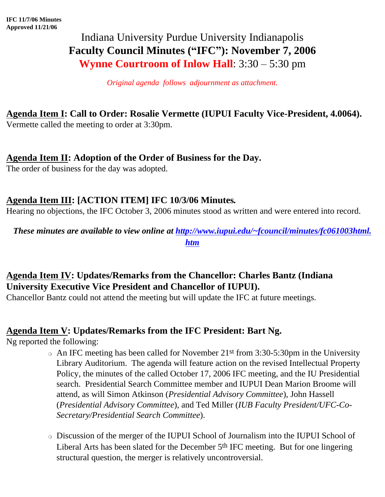# Indiana University Purdue University Indianapolis **Faculty Council Minutes ("IFC"): November 7, 2006 Wynne Courtroom of Inlow Hall**: 3:30 – 5:30 pm

*Original agenda follows adjournment as attachment.*

# **Agenda Item I: Call to Order: Rosalie Vermette (IUPUI Faculty Vice-President, 4.0064).**

Vermette called the meeting to order at 3:30pm.

## **Agenda Item II: Adoption of the Order of Business for the Day.**

The order of business for the day was adopted.

## **Agenda Item III: [ACTION ITEM] IFC 10/3/06 Minutes***.*

Hearing no objections, the IFC October 3, 2006 minutes stood as written and were entered into record.

*These minutes are available to view online at [http://www.iupui.edu/~fcouncil/minutes/fc061003html.](http://www.iupui.edu/~fcouncil/minutes/fc061003html.htm) [htm](http://www.iupui.edu/~fcouncil/minutes/fc061003html.htm)*

# **Agenda Item IV: Updates/Remarks from the Chancellor: Charles Bantz (Indiana University Executive Vice President and Chancellor of IUPUI).**

Chancellor Bantz could not attend the meeting but will update the IFC at future meetings.

## **Agenda Item V: Updates/Remarks from the IFC President: Bart Ng.**

Ng reported the following:

- $\circ$  An IFC meeting has been called for November 21<sup>st</sup> from 3:30-5:30pm in the University Library Auditorium. The agenda will feature action on the revised Intellectual Property Policy, the minutes of the called October 17, 2006 IFC meeting, and the IU Presidential search. Presidential Search Committee member and IUPUI Dean Marion Broome will attend, as will Simon Atkinson (*Presidential Advisory Committee*), John Hassell (*Presidential Advisory Committee*), and Ted Miller (*IUB Faculty President/UFC-Co-Secretary/Presidential Search Committee*).
- ❍ Discussion of the merger of the IUPUI School of Journalism into the IUPUI School of Liberal Arts has been slated for the December 5th IFC meeting. But for one lingering structural question, the merger is relatively uncontroversial.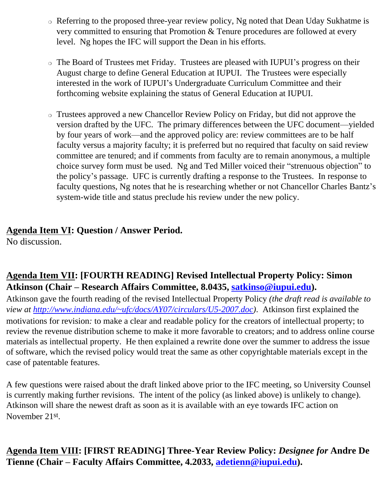- ❍ Referring to the proposed three-year review policy, Ng noted that Dean Uday Sukhatme is very committed to ensuring that Promotion & Tenure procedures are followed at every level. Ng hopes the IFC will support the Dean in his efforts.
- ❍ The Board of Trustees met Friday. Trustees are pleased with IUPUI's progress on their August charge to define General Education at IUPUI. The Trustees were especially interested in the work of IUPUI's Undergraduate Curriculum Committee and their forthcoming website explaining the status of General Education at IUPUI.
- ❍ Trustees approved a new Chancellor Review Policy on Friday, but did not approve the version drafted by the UFC. The primary differences between the UFC document—yielded by four years of work—and the approved policy are: review committees are to be half faculty versus a majority faculty; it is preferred but no required that faculty on said review committee are tenured; and if comments from faculty are to remain anonymous, a multiple choice survey form must be used. Ng and Ted Miller voiced their "strenuous objection" to the policy's passage. UFC is currently drafting a response to the Trustees. In response to faculty questions, Ng notes that he is researching whether or not Chancellor Charles Bantz's system-wide title and status preclude his review under the new policy.

# **Agenda Item VI: Question / Answer Period.**

No discussion.

# **Agenda Item VII: [FOURTH READING] Revised Intellectual Property Policy: Simon Atkinson (Chair – Research Affairs Committee, 8.0435, [satkinso@iupui.edu](mailto:satkinso@iupui.edu)).**

Atkinson gave the fourth reading of the revised Intellectual Property Policy *(the draft read is available to view at [http://www.indiana.edu/~ufc/docs/AY07/circulars/U5-2007.doc\)](http://www.indiana.edu/~ufc/docs/AY07/circulars/U5-2007.doc)*. Atkinson first explained the motivations for revision*:* to make a clear and readable policy for the creators of intellectual property; to review the revenue distribution scheme to make it more favorable to creators; and to address online course materials as intellectual property. He then explained a rewrite done over the summer to address the issue of software, which the revised policy would treat the same as other copyrightable materials except in the case of patentable features.

A few questions were raised about the draft linked above prior to the IFC meeting, so University Counsel is currently making further revisions. The intent of the policy (as linked above) is unlikely to change). Atkinson will share the newest draft as soon as it is available with an eye towards IFC action on November 21st.

**Agenda Item VIII: [FIRST READING] Three-Year Review Policy:** *Designee for* **Andre De Tienne (Chair – Faculty Affairs Committee, 4.2033, [adetienn@iupui.edu\)](mailto:adetienn@iupui.edu).**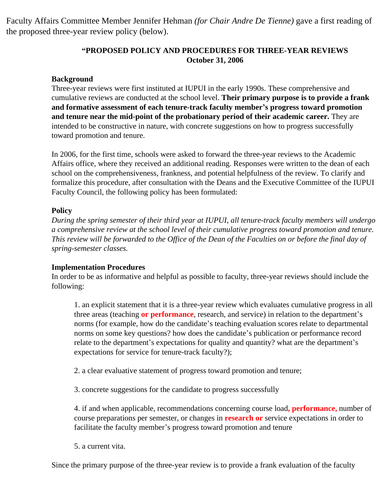Faculty Affairs Committee Member Jennifer Hehman *(for Chair Andre De Tienne)* gave a first reading of the proposed three-year review policy (below).

#### **"PROPOSED POLICY AND PROCEDURES FOR THREE-YEAR REVIEWS October 31, 2006**

#### **Background**

Three-year reviews were first instituted at IUPUI in the early 1990s. These comprehensive and cumulative reviews are conducted at the school level. **Their primary purpose is to provide a frank and formative assessment of each tenure-track faculty member's progress toward promotion and tenure near the mid-point of the probationary period of their academic career.** They are intended to be constructive in nature, with concrete suggestions on how to progress successfully toward promotion and tenure.

In 2006, for the first time, schools were asked to forward the three-year reviews to the Academic Affairs office, where they received an additional reading. Responses were written to the dean of each school on the comprehensiveness, frankness, and potential helpfulness of the review. To clarify and formalize this procedure, after consultation with the Deans and the Executive Committee of the IUPUI Faculty Council, the following policy has been formulated:

#### **Policy**

*During the spring semester of their third year at IUPUI, all tenure-track faculty members will undergo a comprehensive review at the school level of their cumulative progress toward promotion and tenure. This review will be forwarded to the Office of the Dean of the Faculties on or before the final day of spring-semester classes.*

#### **Implementation Procedures**

In order to be as informative and helpful as possible to faculty, three-year reviews should include the following:

1. an explicit statement that it is a three-year review which evaluates cumulative progress in all three areas (teaching **or performance**, research, and service) in relation to the department's norms (for example, how do the candidate's teaching evaluation scores relate to departmental norms on some key questions? how does the candidate's publication or performance record relate to the department's expectations for quality and quantity? what are the department's expectations for service for tenure-track faculty?);

- 2. a clear evaluative statement of progress toward promotion and tenure;
- 3. concrete suggestions for the candidate to progress successfully

4. if and when applicable, recommendations concerning course load**, performance,** number of course preparations per semester, or changes in **research or** service expectations in order to facilitate the faculty member's progress toward promotion and tenure

5. a current vita.

Since the primary purpose of the three-year review is to provide a frank evaluation of the faculty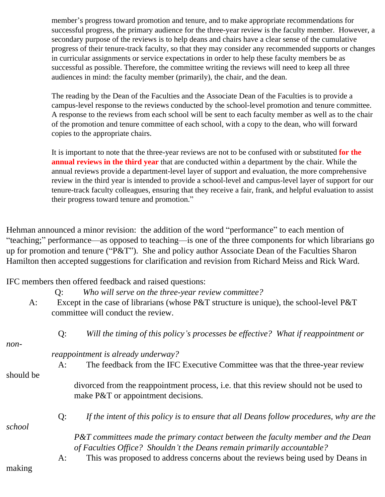member's progress toward promotion and tenure, and to make appropriate recommendations for successful progress, the primary audience for the three-year review is the faculty member. However, a secondary purpose of the reviews is to help deans and chairs have a clear sense of the cumulative progress of their tenure-track faculty, so that they may consider any recommended supports or changes in curricular assignments or service expectations in order to help these faculty members be as successful as possible. Therefore, the committee writing the reviews will need to keep all three audiences in mind: the faculty member (primarily), the chair, and the dean.

The reading by the Dean of the Faculties and the Associate Dean of the Faculties is to provide a campus-level response to the reviews conducted by the school-level promotion and tenure committee. A response to the reviews from each school will be sent to each faculty member as well as to the chair of the promotion and tenure committee of each school, with a copy to the dean, who will forward copies to the appropriate chairs.

It is important to note that the three-year reviews are not to be confused with or substituted **for the annual reviews in the third year** that are conducted within a department by the chair. While the annual reviews provide a department-level layer of support and evaluation, the more comprehensive review in the third year is intended to provide a school-level and campus-level layer of support for our tenure-track faculty colleagues, ensuring that they receive a fair, frank, and helpful evaluation to assist their progress toward tenure and promotion."

Hehman announced a minor revision: the addition of the word "performance" to each mention of "teaching;" performance—as opposed to teaching—is one of the three components for which librarians go up for promotion and tenure ("P&T"). She and policy author Associate Dean of the Faculties Sharon Hamilton then accepted suggestions for clarification and revision from Richard Meiss and Rick Ward.

IFC members then offered feedback and raised questions:

|           | Q:                                                                                           | Who will serve on the three-year review committee?                                                                                                        |  |
|-----------|----------------------------------------------------------------------------------------------|-----------------------------------------------------------------------------------------------------------------------------------------------------------|--|
| A:        | Except in the case of librarians (whose $P\&T$ structure is unique), the school-level $P\&T$ |                                                                                                                                                           |  |
|           |                                                                                              | committee will conduct the review.                                                                                                                        |  |
|           | $Q$ :                                                                                        | Will the timing of this policy's processes be effective? What if reappointment or                                                                         |  |
| non-      |                                                                                              |                                                                                                                                                           |  |
|           | reappointment is already underway?                                                           |                                                                                                                                                           |  |
|           | A:                                                                                           | The feedback from the IFC Executive Committee was that the three-year review                                                                              |  |
| should be |                                                                                              |                                                                                                                                                           |  |
|           |                                                                                              | divorced from the reappointment process, i.e. that this review should not be used to<br>make P&T or appointment decisions.                                |  |
| school    | $Q$ :                                                                                        | If the intent of this policy is to ensure that all Deans follow procedures, why are the                                                                   |  |
|           |                                                                                              | P&T committees made the primary contact between the faculty member and the Dean<br>of Faculties Office? Shouldn't the Deans remain primarily accountable? |  |
| making    | A:                                                                                           | This was proposed to address concerns about the reviews being used by Deans in                                                                            |  |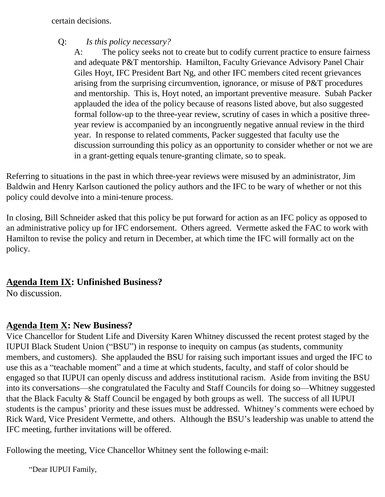certain decisions.

Q: *Is this policy necessary?*

A: The policy seeks not to create but to codify current practice to ensure fairness and adequate P&T mentorship. Hamilton, Faculty Grievance Advisory Panel Chair Giles Hoyt, IFC President Bart Ng, and other IFC members cited recent grievances arising from the surprising circumvention, ignorance, or misuse of P&T procedures and mentorship. This is, Hoyt noted, an important preventive measure. Subah Packer applauded the idea of the policy because of reasons listed above, but also suggested formal follow-up to the three-year review, scrutiny of cases in which a positive threeyear review is accompanied by an incongruently negative annual review in the third year. In response to related comments, Packer suggested that faculty use the discussion surrounding this policy as an opportunity to consider whether or not we are in a grant-getting equals tenure-granting climate, so to speak.

Referring to situations in the past in which three-year reviews were misused by an administrator, Jim Baldwin and Henry Karlson cautioned the policy authors and the IFC to be wary of whether or not this policy could devolve into a mini-tenure process.

In closing, Bill Schneider asked that this policy be put forward for action as an IFC policy as opposed to an administrative policy up for IFC endorsement. Others agreed. Vermette asked the FAC to work with Hamilton to revise the policy and return in December, at which time the IFC will formally act on the policy.

# **Agenda Item IX: Unfinished Business?**

No discussion.

# **Agenda Item X: New Business?**

Vice Chancellor for Student Life and Diversity Karen Whitney discussed the recent protest staged by the IUPUI Black Student Union ("BSU") in response to inequity on campus (as students, community members, and customers). She applauded the BSU for raising such important issues and urged the IFC to use this as a "teachable moment" and a time at which students, faculty, and staff of color should be engaged so that IUPUI can openly discuss and address institutional racism. Aside from inviting the BSU into its conversations—she congratulated the Faculty and Staff Councils for doing so—Whitney suggested that the Black Faculty & Staff Council be engaged by both groups as well. The success of all IUPUI students is the campus' priority and these issues must be addressed. Whitney's comments were echoed by Rick Ward, Vice President Vermette, and others. Although the BSU's leadership was unable to attend the IFC meeting, further invitations will be offered.

Following the meeting, Vice Chancellor Whitney sent the following e-mail:

"Dear IUPUI Family,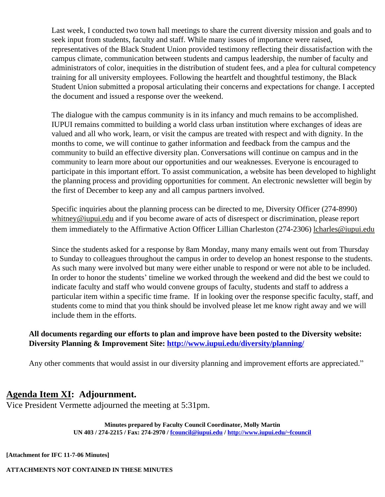Last week, I conducted two town hall meetings to share the current diversity mission and goals and to seek input from students, faculty and staff. While many issues of importance were raised, representatives of the Black Student Union provided testimony reflecting their dissatisfaction with the campus climate, communication between students and campus leadership, the number of faculty and administrators of color, inequities in the distribution of student fees, and a plea for cultural competency training for all university employees. Following the heartfelt and thoughtful testimony, the Black Student Union submitted a proposal articulating their concerns and expectations for change. I accepted the document and issued a response over the weekend.

The dialogue with the campus community is in its infancy and much remains to be accomplished. IUPUI remains committed to building a world class urban institution where exchanges of ideas are valued and all who work, learn, or visit the campus are treated with respect and with dignity. In the months to come, we will continue to gather information and feedback from the campus and the community to build an effective diversity plan. Conversations will continue on campus and in the community to learn more about our opportunities and our weaknesses. Everyone is encouraged to participate in this important effort. To assist communication, a website has been developed to highlight the planning process and providing opportunities for comment. An electronic newsletter will begin by the first of December to keep any and all campus partners involved.

Specific inquiries about the planning process can be directed to me, Diversity Officer (274-8990) [whitney@iupui.edu](mailto:whitney@iupui.edu) and if you become aware of acts of disrespect or discrimination, please report them immediately to the Affirmative Action Officer Lillian Charleston (274-2306) [lcharles@iupui.edu](mailto:lcharles@iupui.edu)

Since the students asked for a response by 8am Monday, many many emails went out from Thursday to Sunday to colleagues throughout the campus in order to develop an honest response to the students. As such many were involved but many were either unable to respond or were not able to be included. In order to honor the students' timeline we worked through the weekend and did the best we could to indicate faculty and staff who would convene groups of faculty, students and staff to address a particular item within a specific time frame. If in looking over the response specific faculty, staff, and students come to mind that you think should be involved please let me know right away and we will include them in the efforts.

#### **All documents regarding our efforts to plan and improve have been posted to the Diversity website: Diversity Planning & Improvement Site: <http://www.iupui.edu/diversity/planning/>**

Any other comments that would assist in our diversity planning and improvement efforts are appreciated."

### **Agenda Item XI: Adjournment.**

Vice President Vermette adjourned the meeting at 5:31pm.

**Minutes prepared by Faculty Council Coordinator, Molly Martin UN 403 / 274-2215 / Fax: 274-2970 / [fcouncil@iupui.edu](mailto:fcouncil@iupui.edu) /<http://www.iupui.edu/~fcouncil>**

**[Attachment for IFC 11-7-06 Minutes]**

**ATTACHMENTS NOT CONTAINED IN THESE MINUTES**